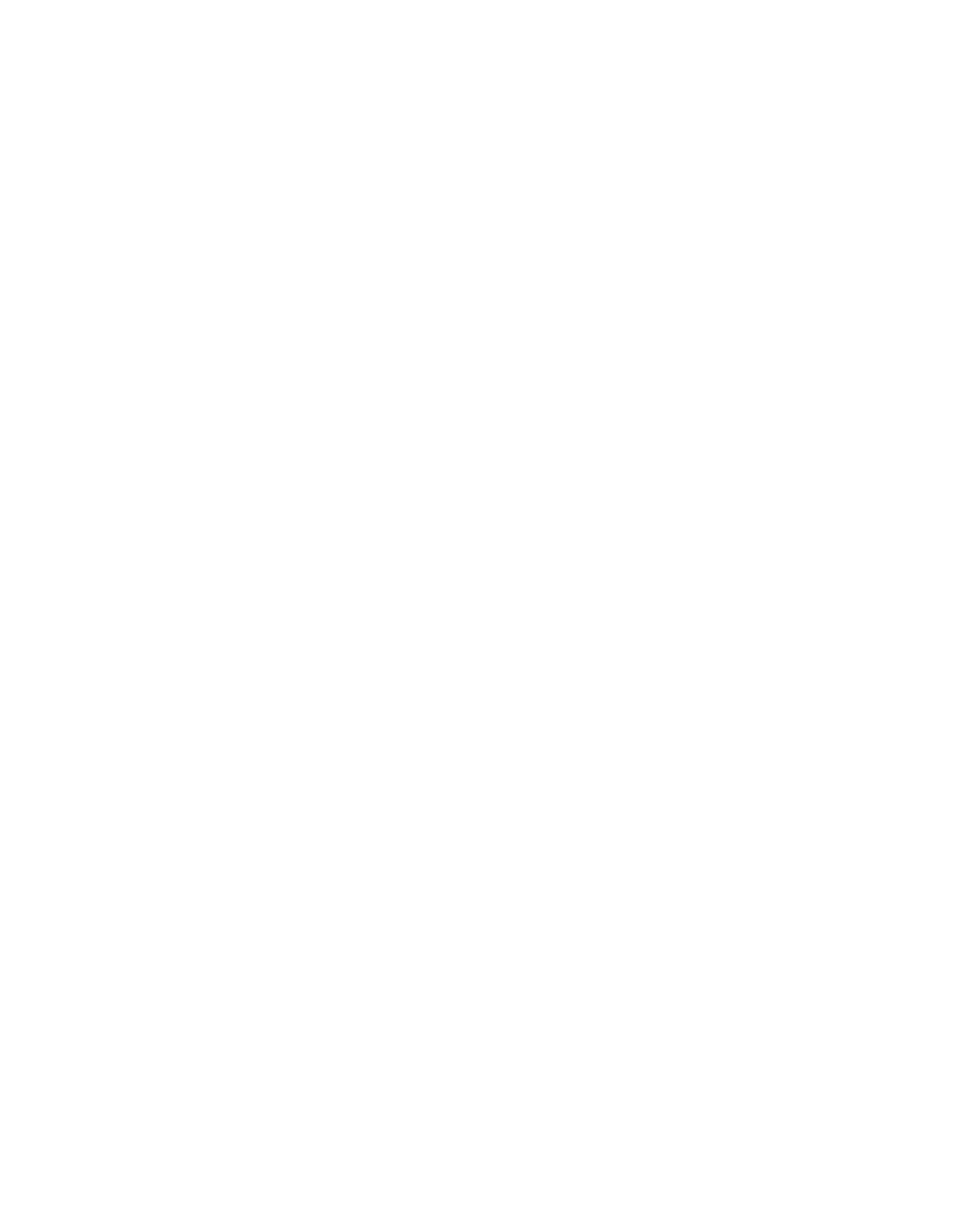# **AMENDMENT NO. X**

#### **OF THE OFFICIAL PLAN**

**FOR THE**

# **COUNTY OF SIMCOE**

**Age-Friendly Policies**

**CERTIFIED** that the attached is a true copy of Official Plan Amendment No. X as adopted and passed by By-law No. \_\_\_\_\_\_\_\_\_ by the Council of the Corporation of the County of Simcoe on the \_\_\_ day of \_\_\_\_\_\_\_\_\_\_\_\_\_\_\_\_\_, 2020.

**Clerk**

\_\_\_\_\_\_\_\_\_\_\_\_\_\_\_\_\_\_\_\_\_\_\_\_\_\_\_\_\_\_\_\_\_\_\_\_\_\_\_\_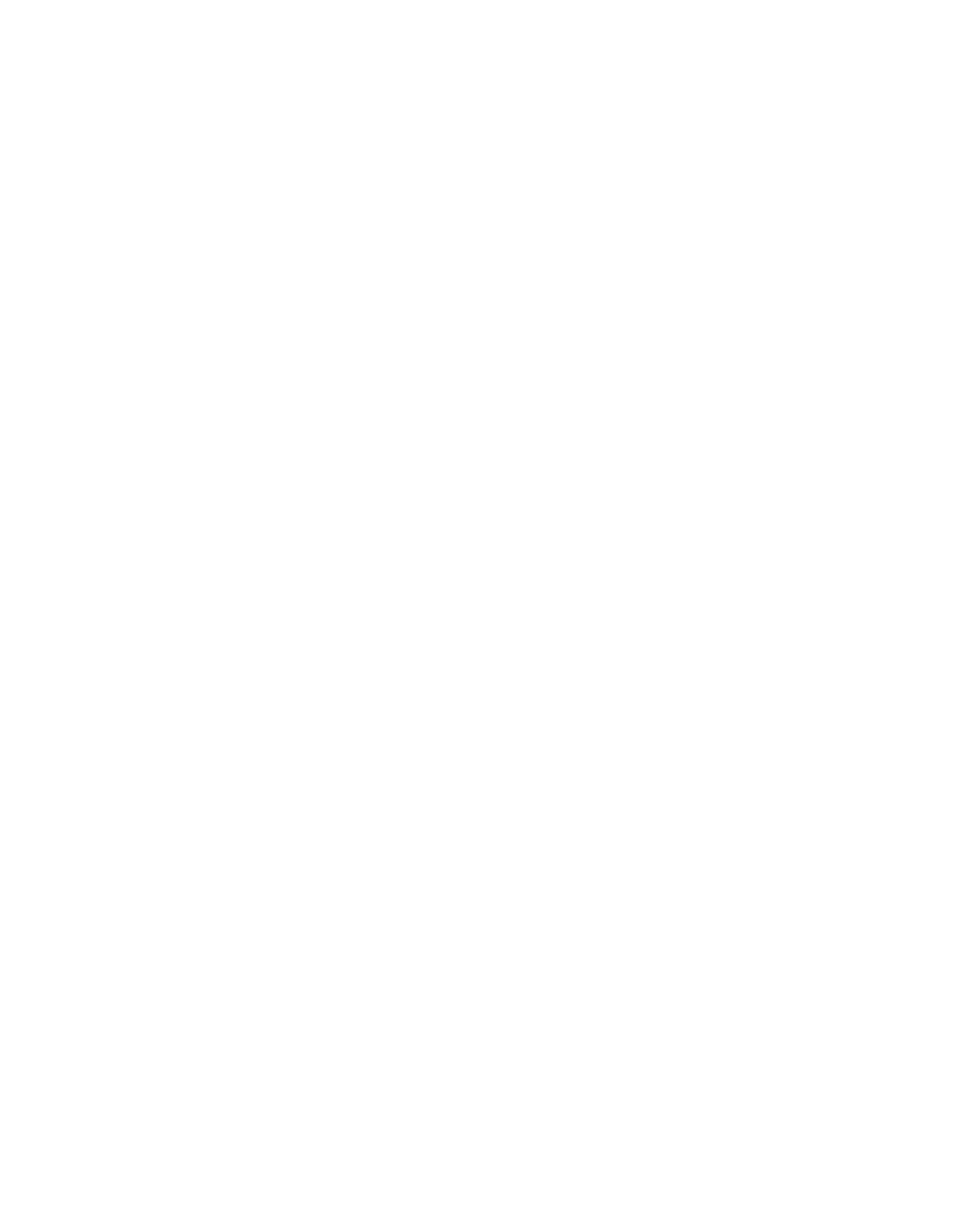# **THE CORPORATION OF THE COUNTY OF SIMCOE**

**BY-LAW NO. \_\_\_\_\_\_\_\_\_**

A By-law to Adopt Official Plan Amendment No.  $X$  to the Official Plan for the County of Simcoe

# **THE COUNCIL OF THE CORPORATION OF THE COUNTY OF SIMCOE IN ACCORDANCE WITH PROVISIONS OF THE PLANNING ACT, HEREBY ENACTS AS FOLLOWS:**

1. Amendment No.  $X$  to the Official Plan for the County of Simcoe, is hereby adopted.

The Clerk is hereby authorized and directed to make application to The Ministry of Municipal Affairs and Housing for approval of the aforementioned Amendment No.  $\bar{X}$  to the Official Plan for the County of Simcoe.

\_\_\_\_\_\_\_\_\_\_\_\_\_\_\_\_\_\_\_\_\_\_\_\_\_\_\_\_\_\_ \_\_\_\_\_\_\_\_\_\_\_\_\_\_\_\_\_\_\_\_\_\_\_\_\_\_\_\_\_

This By-law shall come into force and take effect on the day of the final passing thereof.

READ A FIRST AND SECOND TIME THIS \_\_\_ DAY OF \_\_\_\_\_\_\_\_\_\_\_\_\_\_\_\_, 2020.

READ A THIRD TIME AND PASSED THIS \_\_\_ DAY OF \_\_\_\_\_\_\_\_\_\_\_\_\_\_\_\_, 2020.

**Warden Clerk**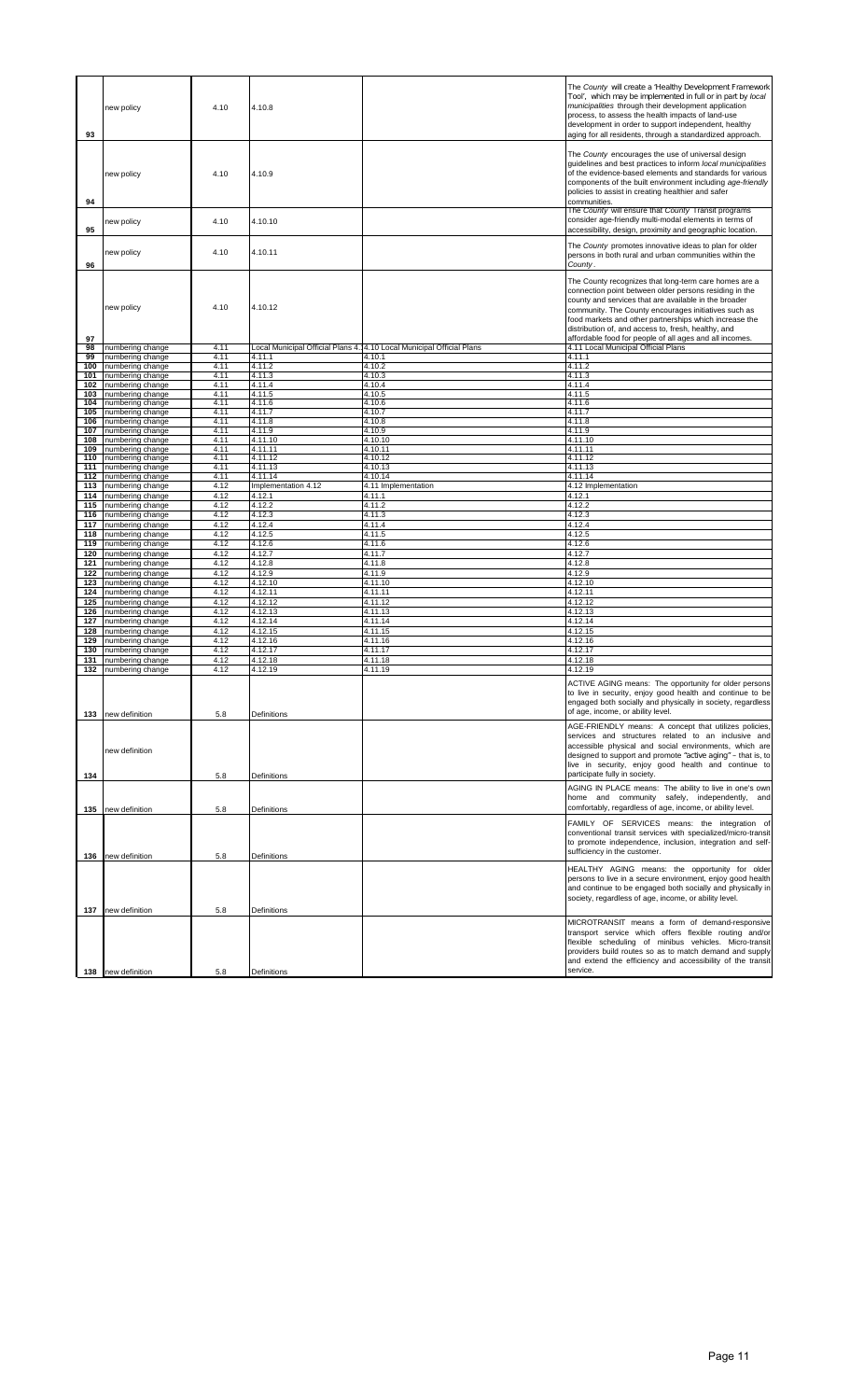### **OFFICIAL PLAN**

### **FOR**

### **THE COUNTY OF SIMCOE**

### **OFFICIAL PLAN AMENDMENT NO. X**

The attached explanatory text constitutes Amendment No.  $X$  to the Official Plan for the County of Simcoe.

This amendment was prepared and adopted by the Council of The Corporation of the County of Simcoe by By-law No. \_\_\_\_\_\_\_\_ in accordance with Sections 17 and 21 of the Planning Act, R.S.O., 1990, c.P.13, as amended, on the \_\_\_ day of \_\_\_\_\_\_\_\_\_\_\_\_\_\_\_\_\_, 2020.

----------------------------------------------------- ---------------------------------------------------

**Warden Clerk**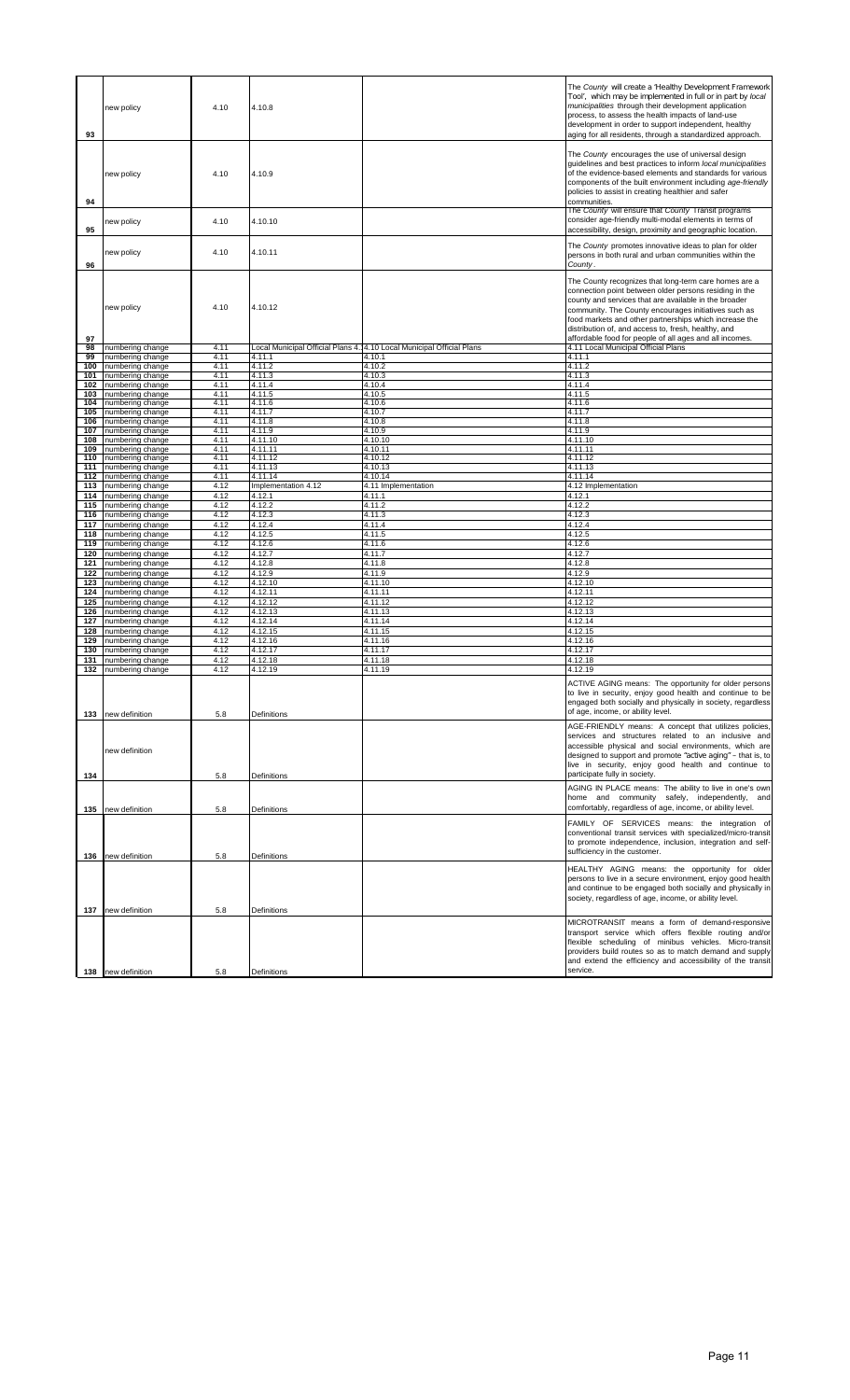# OFFICIAL PLAN AMENDMENT NO. X TO THE OFFICIAL PLAN FOR THE COUNTY OF SIMCOE **TABLE OF CONTENTS**

|                                                                      | 2.0 |
|----------------------------------------------------------------------|-----|
|                                                                      | 3.0 |
| SCHEDULE A - SUMMARY OF PROPOSED OFFICIAL PLAN POLICY MODIFICATIONS8 |     |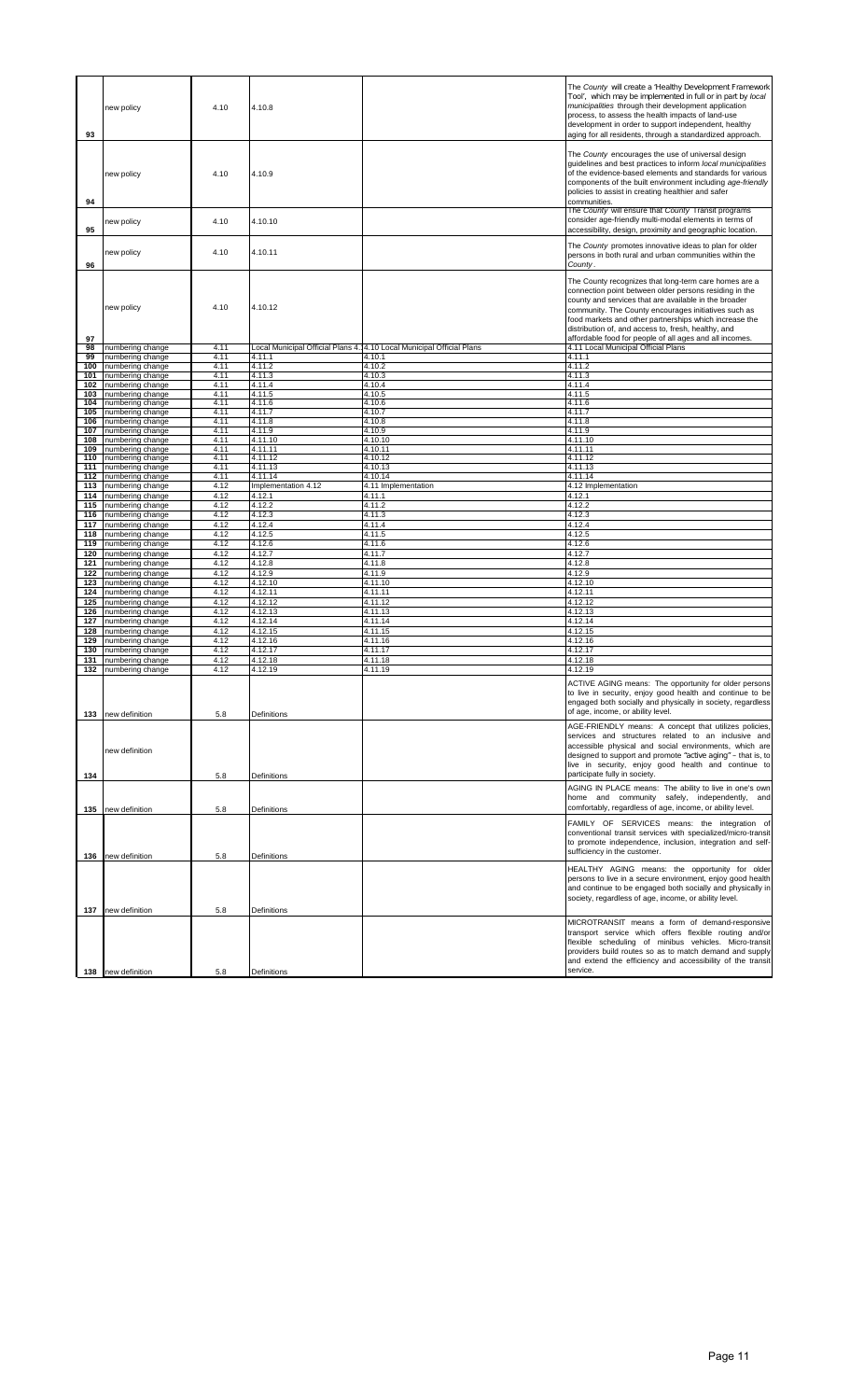# <span id="page-4-0"></span>**THE CONSTITUTIONAL STATEMENT**

The following Amendment to the Official Plan for the County of Simcoe consists of two parts.

**PART A – THE PREAMBLE** consists of the purpose, location and basis for the Amendment and does not constitute part of the actual Amendment.

**PART B – THE AMENDMENT** sets out the actual Amendment along with the specific policies to be added or modified to the County of Simcoe Official Plan.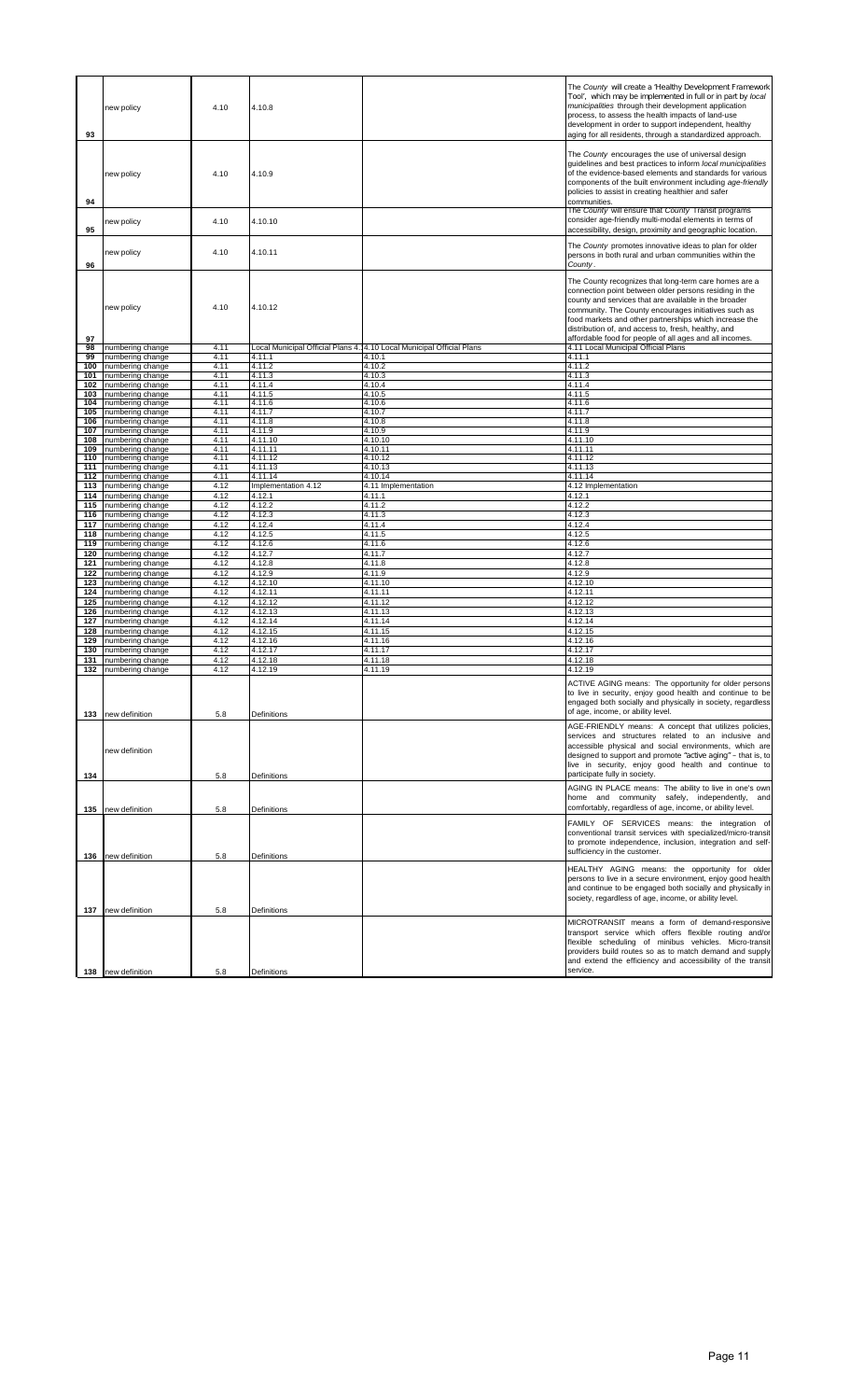### <span id="page-5-0"></span>**PART A - THE PREAMBLE**

# <span id="page-5-1"></span>**TITLE**

The title of this Amendment is "Official Plan Amendment No.  $\chi$  to the Official Plan for the County of Simcoe", herein referred to as Amendment No. X.

### <span id="page-5-2"></span>**PURPOSE**

The Amendment proposes to amend various sections throughout the Official Plan including the following:

- 1. Adding additional goals to section 1.3
- 2. Adding demographic information specific to older persons to sections 2.3 and 2.4
- 3. Enhancing policy language throughout the Plan to be specifically inclusive of all people
- 4. Adding an additional objective to section 3.5
- 5. Adding additional encouragement policies to section 3.5.27 related to downtown settlements
- 6. Adding enhanced policy language throughout section 4 regarding Transportation
- 7. Adding an additional policy to section 4.3.2 to encourage local municipalities to develop supportive age-friendly policies related to affordable housing within their official plans
- 8. Adding a new section 4.10 specific to Age-Friendly Planning
- 9. Adding new definitions:
	- a. Active Aging
	- b. Age-Friendly
	- c. Aging in Place
	- d. Family of Services
	- e. Healthy Aging
	- f. Microtransit

#### <span id="page-5-3"></span>**LOCATION**

Official Plan Amendment No.  $X$  is a textual amendment and the policies apply to all lands located within the County of Simcoe.

#### <span id="page-5-4"></span>**BASIS**

The County of Simcoe adopted a Positive Aging Strategy in 2017 that provides the framework for the County's age-friendly principles. Guided by the Strategy, the County is working to further these principles by implementing age-friendly policies through this County Official Plan Amendment.

As part of this County Official Plan Amendment, the County Official Plan is being modified to incorporate age-friendly principles into a regional policy framework to assist our local municipalities in introducing land-use policies to support our senior populations, including the provision of housing and services to meet their needs.

As there was an apparent need to amend the County policies to deal with age-friendly principles, a review of County policies and potential appropriate amendments were sought.